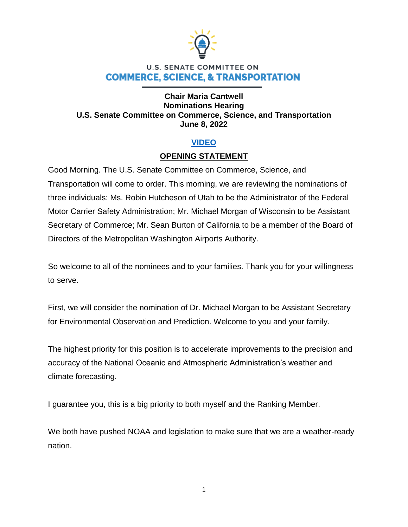

# **U.S. SENATE COMMITTEE ON COMMERCE, SCIENCE, & TRANSPORTATION**

**Chair Maria Cantwell Nominations Hearing U.S. Senate Committee on Commerce, Science, and Transportation June 8, 2022**

### **[VIDEO](https://youtu.be/uWIxVMh9Y_U)**

## **OPENING STATEMENT**

Good Morning. The U.S. Senate Committee on Commerce, Science, and Transportation will come to order. This morning, we are reviewing the nominations of three individuals: Ms. Robin Hutcheson of Utah to be the Administrator of the Federal Motor Carrier Safety Administration; Mr. Michael Morgan of Wisconsin to be Assistant Secretary of Commerce; Mr. Sean Burton of California to be a member of the Board of Directors of the Metropolitan Washington Airports Authority.

So welcome to all of the nominees and to your families. Thank you for your willingness to serve.

First, we will consider the nomination of Dr. Michael Morgan to be Assistant Secretary for Environmental Observation and Prediction. Welcome to you and your family.

The highest priority for this position is to accelerate improvements to the precision and accuracy of the National Oceanic and Atmospheric Administration's weather and climate forecasting.

I guarantee you, this is a big priority to both myself and the Ranking Member.

We both have pushed NOAA and legislation to make sure that we are a weather-ready nation.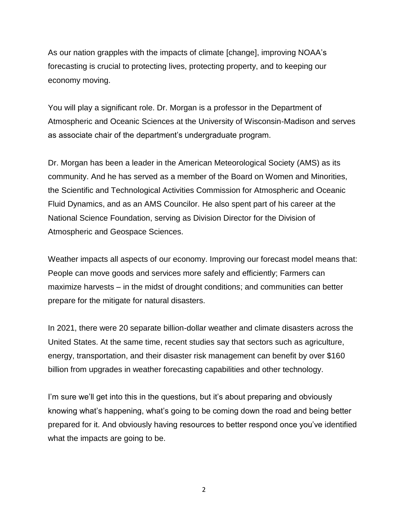As our nation grapples with the impacts of climate [change], improving NOAA's forecasting is crucial to protecting lives, protecting property, and to keeping our economy moving.

You will play a significant role. Dr. Morgan is a professor in the Department of Atmospheric and Oceanic Sciences at the University of Wisconsin-Madison and serves as associate chair of the department's undergraduate program.

Dr. Morgan has been a leader in the American Meteorological Society (AMS) as its community. And he has served as a member of the Board on Women and Minorities, the Scientific and Technological Activities Commission for Atmospheric and Oceanic Fluid Dynamics, and as an AMS Councilor. He also spent part of his career at the National Science Foundation, serving as Division Director for the Division of Atmospheric and Geospace Sciences.

Weather impacts all aspects of our economy. Improving our forecast model means that: People can move goods and services more safely and efficiently; Farmers can maximize harvests – in the midst of drought conditions; and communities can better prepare for the mitigate for natural disasters.

In 2021, there were 20 separate billion-dollar weather and climate disasters across the United States. At the same time, recent studies say that sectors such as agriculture, energy, transportation, and their disaster risk management can benefit by over \$160 billion from upgrades in weather forecasting capabilities and other technology.

I'm sure we'll get into this in the questions, but it's about preparing and obviously knowing what's happening, what's going to be coming down the road and being better prepared for it. And obviously having resources to better respond once you've identified what the impacts are going to be.

2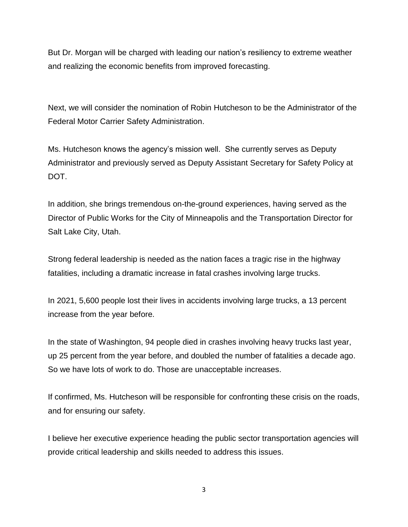But Dr. Morgan will be charged with leading our nation's resiliency to extreme weather and realizing the economic benefits from improved forecasting.

Next, we will consider the nomination of Robin Hutcheson to be the Administrator of the Federal Motor Carrier Safety Administration.

Ms. Hutcheson knows the agency's mission well. She currently serves as Deputy Administrator and previously served as Deputy Assistant Secretary for Safety Policy at DOT.

In addition, she brings tremendous on-the-ground experiences, having served as the Director of Public Works for the City of Minneapolis and the Transportation Director for Salt Lake City, Utah.

Strong federal leadership is needed as the nation faces a tragic rise in the highway fatalities, including a dramatic increase in fatal crashes involving large trucks.

In 2021, 5,600 people lost their lives in accidents involving large trucks, a 13 percent increase from the year before.

In the state of Washington, 94 people died in crashes involving heavy trucks last year, up 25 percent from the year before, and doubled the number of fatalities a decade ago. So we have lots of work to do. Those are unacceptable increases.

If confirmed, Ms. Hutcheson will be responsible for confronting these crisis on the roads, and for ensuring our safety.

I believe her executive experience heading the public sector transportation agencies will provide critical leadership and skills needed to address this issues.

3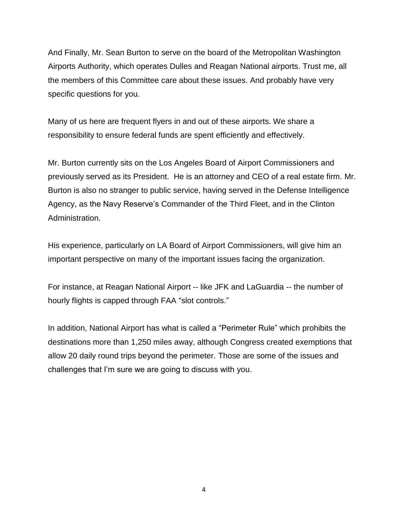And Finally, Mr. Sean Burton to serve on the board of the Metropolitan Washington Airports Authority, which operates Dulles and Reagan National airports. Trust me, all the members of this Committee care about these issues. And probably have very specific questions for you.

Many of us here are frequent flyers in and out of these airports. We share a responsibility to ensure federal funds are spent efficiently and effectively.

Mr. Burton currently sits on the Los Angeles Board of Airport Commissioners and previously served as its President. He is an attorney and CEO of a real estate firm. Mr. Burton is also no stranger to public service, having served in the Defense Intelligence Agency, as the Navy Reserve's Commander of the Third Fleet, and in the Clinton Administration.

His experience, particularly on LA Board of Airport Commissioners, will give him an important perspective on many of the important issues facing the organization.

For instance, at Reagan National Airport -- like JFK and LaGuardia -- the number of hourly flights is capped through FAA "slot controls."

In addition, National Airport has what is called a "Perimeter Rule" which prohibits the destinations more than 1,250 miles away, although Congress created exemptions that allow 20 daily round trips beyond the perimeter. Those are some of the issues and challenges that I'm sure we are going to discuss with you.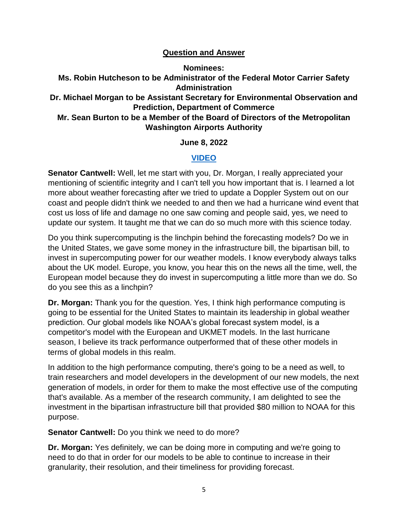### **Question and Answer**

**Nominees:** 

**Ms. Robin Hutcheson to be Administrator of the Federal Motor Carrier Safety Administration** 

**Dr. Michael Morgan to be Assistant Secretary for Environmental Observation and Prediction, Department of Commerce** 

### **Mr. Sean Burton to be a Member of the Board of Directors of the Metropolitan Washington Airports Authority**

#### **June 8, 2022**

### **[VIDEO](https://www.cantwell.senate.gov/download/06082022-commerce-hearing-on-pending-noms-video)**

**Senator Cantwell:** Well, let me start with you, Dr. Morgan, I really appreciated your mentioning of scientific integrity and I can't tell you how important that is. I learned a lot more about weather forecasting after we tried to update a Doppler System out on our coast and people didn't think we needed to and then we had a hurricane wind event that cost us loss of life and damage no one saw coming and people said, yes, we need to update our system. It taught me that we can do so much more with this science today.

Do you think supercomputing is the linchpin behind the forecasting models? Do we in the United States, we gave some money in the infrastructure bill, the bipartisan bill, to invest in supercomputing power for our weather models. I know everybody always talks about the UK model. Europe, you know, you hear this on the news all the time, well, the European model because they do invest in supercomputing a little more than we do. So do you see this as a linchpin?

**Dr. Morgan:** Thank you for the question. Yes, I think high performance computing is going to be essential for the United States to maintain its leadership in global weather prediction. Our global models like NOAA's global forecast system model, is a competitor's model with the European and UKMET models. In the last hurricane season, I believe its track performance outperformed that of these other models in terms of global models in this realm.

In addition to the high performance computing, there's going to be a need as well, to train researchers and model developers in the development of our new models, the next generation of models, in order for them to make the most effective use of the computing that's available. As a member of the research community, I am delighted to see the investment in the bipartisan infrastructure bill that provided \$80 million to NOAA for this purpose.

**Senator Cantwell:** Do you think we need to do more?

**Dr. Morgan:** Yes definitely, we can be doing more in computing and we're going to need to do that in order for our models to be able to continue to increase in their granularity, their resolution, and their timeliness for providing forecast.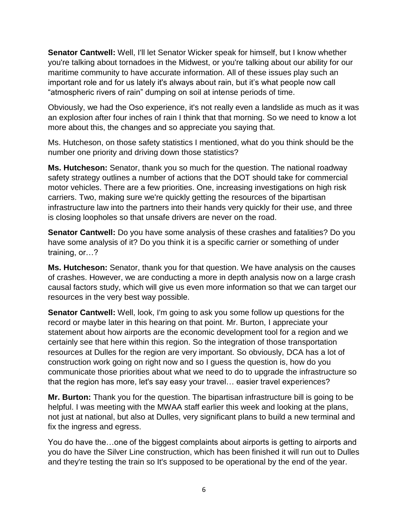**Senator Cantwell:** Well, I'll let Senator Wicker speak for himself, but I know whether you're talking about tornadoes in the Midwest, or you're talking about our ability for our maritime community to have accurate information. All of these issues play such an important role and for us lately it's always about rain, but it's what people now call "atmospheric rivers of rain" dumping on soil at intense periods of time.

Obviously, we had the Oso experience, it's not really even a landslide as much as it was an explosion after four inches of rain I think that that morning. So we need to know a lot more about this, the changes and so appreciate you saying that.

Ms. Hutcheson, on those safety statistics I mentioned, what do you think should be the number one priority and driving down those statistics?

**Ms. Hutcheson:** Senator, thank you so much for the question. The national roadway safety strategy outlines a number of actions that the DOT should take for commercial motor vehicles. There are a few priorities. One, increasing investigations on high risk carriers. Two, making sure we're quickly getting the resources of the bipartisan infrastructure law into the partners into their hands very quickly for their use, and three is closing loopholes so that unsafe drivers are never on the road.

**Senator Cantwell:** Do you have some analysis of these crashes and fatalities? Do you have some analysis of it? Do you think it is a specific carrier or something of under training, or…?

**Ms. Hutcheson:** Senator, thank you for that question. We have analysis on the causes of crashes. However, we are conducting a more in depth analysis now on a large crash causal factors study, which will give us even more information so that we can target our resources in the very best way possible.

**Senator Cantwell:** Well, look, I'm going to ask you some follow up questions for the record or maybe later in this hearing on that point. Mr. Burton, I appreciate your statement about how airports are the economic development tool for a region and we certainly see that here within this region. So the integration of those transportation resources at Dulles for the region are very important. So obviously, DCA has a lot of construction work going on right now and so I guess the question is, how do you communicate those priorities about what we need to do to upgrade the infrastructure so that the region has more, let's say easy your travel… easier travel experiences?

**Mr. Burton:** Thank you for the question. The bipartisan infrastructure bill is going to be helpful. I was meeting with the MWAA staff earlier this week and looking at the plans, not just at national, but also at Dulles, very significant plans to build a new terminal and fix the ingress and egress.

You do have the…one of the biggest complaints about airports is getting to airports and you do have the Silver Line construction, which has been finished it will run out to Dulles and they're testing the train so It's supposed to be operational by the end of the year.